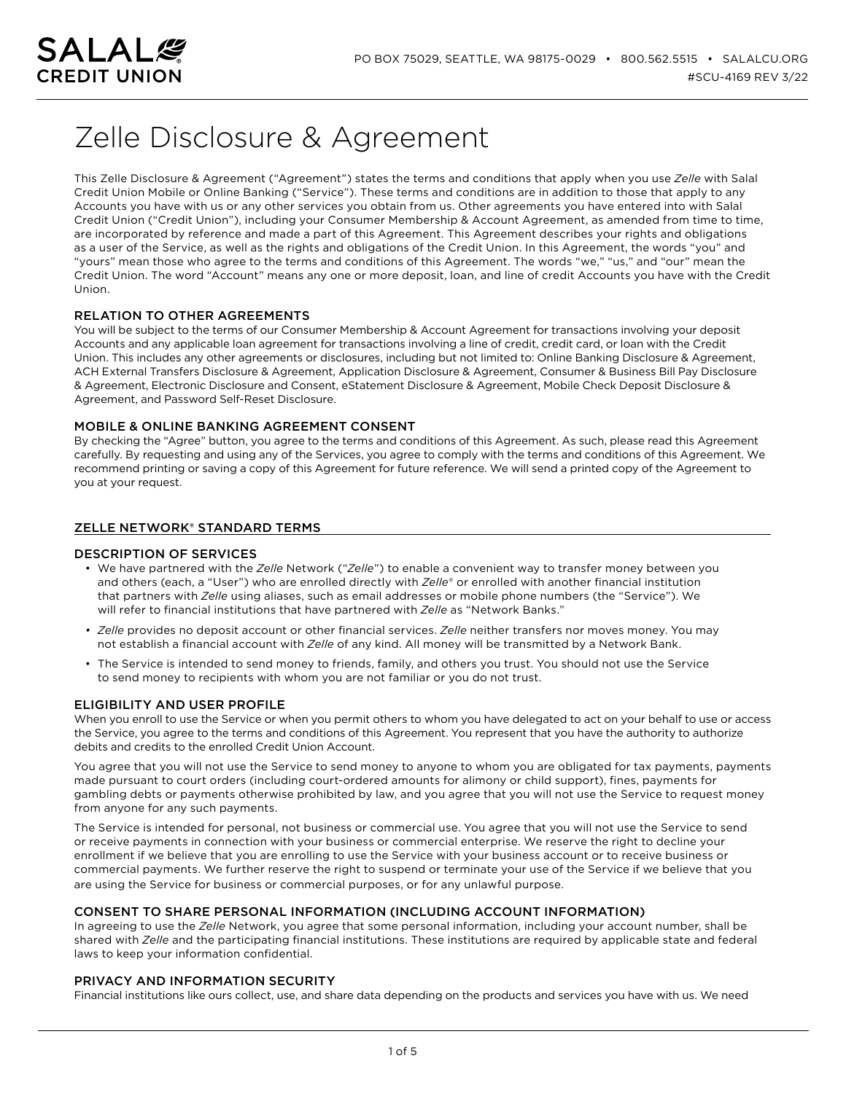

# Zelle Disclosure & Agreement

This Zelle Disclosure & Agreement ("Agreement") states the terms and conditions that apply when you use *Zelle* with Salal Credit Union Mobile or Online Banking ("Service"). These terms and conditions are in addition to those that apply to any Accounts you have with us or any other services you obtain from us. Other agreements you have entered into with Salal Credit Union ("Credit Union"), including your Consumer Membership & Account Agreement, as amended from time to time, are incorporated by reference and made a part of this Agreement. This Agreement describes your rights and obligations as a user of the Service, as well as the rights and obligations of the Credit Union. In this Agreement, the words "you" and "yours" mean those who agree to the terms and conditions of this Agreement. The words "we," "us," and "our" mean the Credit Union. The word "Account" means any one or more deposit, loan, and line of credit Accounts you have with the Credit Union.

# RELATION TO OTHER AGREEMENTS

You will be subject to the terms of our Consumer Membership & Account Agreement for transactions involving your deposit Accounts and any applicable loan agreement for transactions involving a line of credit, credit card, or loan with the Credit Union. This includes any other agreements or disclosures, including but not limited to: Online Banking Disclosure & Agreement, ACH External Transfers Disclosure & Agreement, Application Disclosure & Agreement, Consumer & Business Bill Pay Disclosure & Agreement, Electronic Disclosure and Consent, eStatement Disclosure & Agreement, Mobile Check Deposit Disclosure & Agreement, and Password Self-Reset Disclosure.

# MOBILE & ONLINE BANKING AGREEMENT CONSENT

By checking the "Agree" button, you agree to the terms and conditions of this Agreement. As such, please read this Agreement carefully. By requesting and using any of the Services, you agree to comply with the terms and conditions of this Agreement. We recommend printing or saving a copy of this Agreement for future reference. We will send a printed copy of the Agreement to you at your request.

# ZELLE NETWORK® STANDARD TERMS

# DESCRIPTION OF SERVICES

- We have partnered with the *Zelle* Network ("*Zelle*") to enable a convenient way to transfer money between you and others (each, a "User") who are enrolled directly with *Zelle*® or enrolled with another financial institution that partners with *Zelle* using aliases, such as email addresses or mobile phone numbers (the "Service"). We will refer to financial institutions that have partnered with *Zelle* as "Network Banks."
- *• Zelle* provides no deposit account or other financial services. *Zelle* neither transfers nor moves money. You may not establish a financial account with *Zelle* of any kind. All money will be transmitted by a Network Bank.
- The Service is intended to send money to friends, family, and others you trust. You should not use the Service to send money to recipients with whom you are not familiar or you do not trust.

# ELIGIBILITY AND USER PROFILE

When you enroll to use the Service or when you permit others to whom you have delegated to act on your behalf to use or access the Service, you agree to the terms and conditions of this Agreement. You represent that you have the authority to authorize debits and credits to the enrolled Credit Union Account.

You agree that you will not use the Service to send money to anyone to whom you are obligated for tax payments, payments made pursuant to court orders (including court-ordered amounts for alimony or child support), fines, payments for gambling debts or payments otherwise prohibited by law, and you agree that you will not use the Service to request money from anyone for any such payments.

The Service is intended for personal, not business or commercial use. You agree that you will not use the Service to send or receive payments in connection with your business or commercial enterprise. We reserve the right to decline your enrollment if we believe that you are enrolling to use the Service with your business account or to receive business or commercial payments. We further reserve the right to suspend or terminate your use of the Service if we believe that you are using the Service for business or commercial purposes, or for any unlawful purpose.

# CONSENT TO SHARE PERSONAL INFORMATION (INCLUDING ACCOUNT INFORMATION)

In agreeing to use the *Zelle* Network, you agree that some personal information, including your account number, shall be shared with *Zelle* and the participating financial institutions. These institutions are required by applicable state and federal laws to keep your information confidential.

# PRIVACY AND INFORMATION SECURITY

Financial institutions like ours collect, use, and share data depending on the products and services you have with us. We need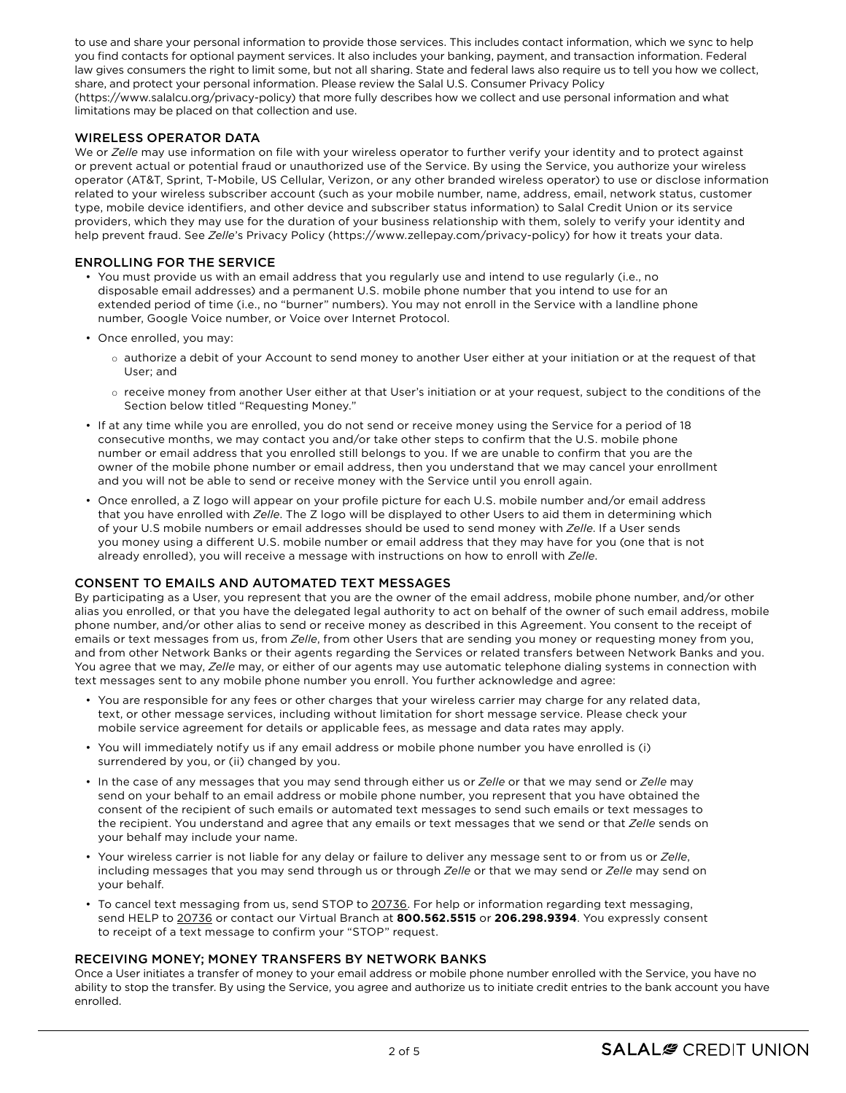to use and share your personal information to provide those services. This includes contact information, which we sync to help you find contacts for optional payment services. It also includes your banking, payment, and transaction information. Federal law gives consumers the right to limit some, but not all sharing. State and federal laws also require us to tell you how we collect, share, and protect your personal information. Please review the Salal U.S. Consumer Privacy Policy (https://www.salalcu.org/privacy-policy) that more fully describes how we collect and use personal information and what limitations may be placed on that collection and use.

# WIRELESS OPERATOR DATA

We or *Zelle* may use information on file with your wireless operator to further verify your identity and to protect against or prevent actual or potential fraud or unauthorized use of the Service. By using the Service, you authorize your wireless operator (AT&T, Sprint, T-Mobile, US Cellular, Verizon, or any other branded wireless operator) to use or disclose information related to your wireless subscriber account (such as your mobile number, name, address, email, network status, customer type, mobile device identifiers, and other device and subscriber status information) to Salal Credit Union or its service providers, which they may use for the duration of your business relationship with them, solely to verify your identity and help prevent fraud. See *Zelle*'s Privacy Policy (https://www.zellepay.com/privacy-policy) for how it treats your data.

# ENROLLING FOR THE SERVICE

- You must provide us with an email address that you regularly use and intend to use regularly (i.e., no disposable email addresses) and a permanent U.S. mobile phone number that you intend to use for an extended period of time (i.e., no "burner" numbers). You may not enroll in the Service with a landline phone number, Google Voice number, or Voice over Internet Protocol.
- Once enrolled, you may:
	- o authorize a debit of your Account to send money to another User either at your initiation or at the request of that User; and
	- o receive money from another User either at that User's initiation or at your request, subject to the conditions of the Section below titled "Requesting Money."
- If at any time while you are enrolled, you do not send or receive money using the Service for a period of 18 consecutive months, we may contact you and/or take other steps to confirm that the U.S. mobile phone number or email address that you enrolled still belongs to you. If we are unable to confirm that you are the owner of the mobile phone number or email address, then you understand that we may cancel your enrollment and you will not be able to send or receive money with the Service until you enroll again.
- Once enrolled, a Z logo will appear on your profile picture for each U.S. mobile number and/or email address that you have enrolled with *Zelle*. The Z logo will be displayed to other Users to aid them in determining which of your U.S mobile numbers or email addresses should be used to send money with *Zelle*. If a User sends you money using a different U.S. mobile number or email address that they may have for you (one that is not already enrolled), you will receive a message with instructions on how to enroll with *Zelle*.

# CONSENT TO EMAILS AND AUTOMATED TEXT MESSAGES

By participating as a User, you represent that you are the owner of the email address, mobile phone number, and/or other alias you enrolled, or that you have the delegated legal authority to act on behalf of the owner of such email address, mobile phone number, and/or other alias to send or receive money as described in this Agreement. You consent to the receipt of emails or text messages from us, from *Zelle*, from other Users that are sending you money or requesting money from you, and from other Network Banks or their agents regarding the Services or related transfers between Network Banks and you. You agree that we may, *Zelle* may, or either of our agents may use automatic telephone dialing systems in connection with text messages sent to any mobile phone number you enroll. You further acknowledge and agree:

- You are responsible for any fees or other charges that your wireless carrier may charge for any related data, text, or other message services, including without limitation for short message service. Please check your mobile service agreement for details or applicable fees, as message and data rates may apply.
- You will immediately notify us if any email address or mobile phone number you have enrolled is (i) surrendered by you, or (ii) changed by you.
- In the case of any messages that you may send through either us or *Zelle* or that we may send or *Zelle* may send on your behalf to an email address or mobile phone number, you represent that you have obtained the consent of the recipient of such emails or automated text messages to send such emails or text messages to the recipient. You understand and agree that any emails or text messages that we send or that *Zelle* sends on your behalf may include your name.
- Your wireless carrier is not liable for any delay or failure to deliver any message sent to or from us or *Zelle*, including messages that you may send through us or through *Zelle* or that we may send or *Zelle* may send on your behalf.
- To cancel text messaging from us, send STOP to 20736. For help or information regarding text messaging, send HELP to 20736 or contact our Virtual Branch at **800.562.5515** or **206.298.9394**. You expressly consent to receipt of a text message to confirm your "STOP" request.

# RECEIVING MONEY; MONEY TRANSFERS BY NETWORK BANKS

Once a User initiates a transfer of money to your email address or mobile phone number enrolled with the Service, you have no ability to stop the transfer. By using the Service, you agree and authorize us to initiate credit entries to the bank account you have enrolled.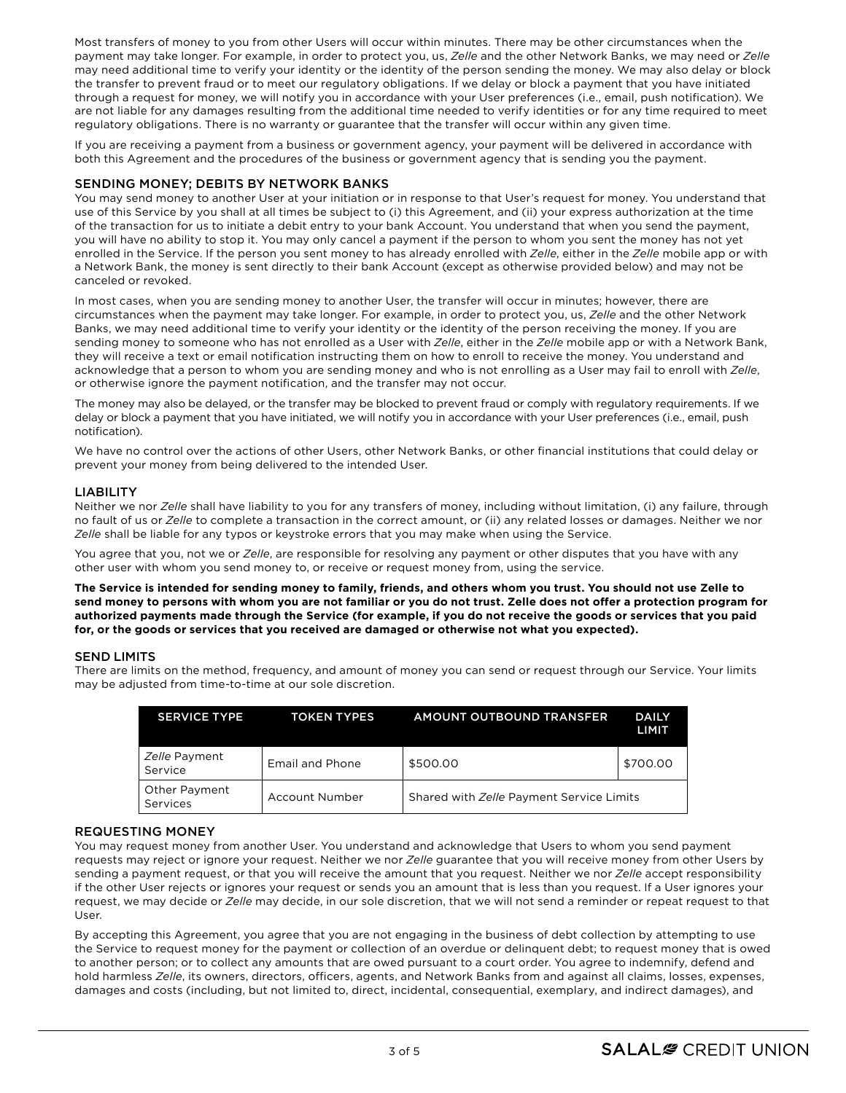Most transfers of money to you from other Users will occur within minutes. There may be other circumstances when the payment may take longer. For example, in order to protect you, us, *Zelle* and the other Network Banks, we may need or *Zelle* may need additional time to verify your identity or the identity of the person sending the money. We may also delay or block the transfer to prevent fraud or to meet our regulatory obligations. If we delay or block a payment that you have initiated through a request for money, we will notify you in accordance with your User preferences (i.e., email, push notification). We are not liable for any damages resulting from the additional time needed to verify identities or for any time required to meet regulatory obligations. There is no warranty or guarantee that the transfer will occur within any given time.

If you are receiving a payment from a business or government agency, your payment will be delivered in accordance with both this Agreement and the procedures of the business or government agency that is sending you the payment.

# SENDING MONEY; DEBITS BY NETWORK BANKS

You may send money to another User at your initiation or in response to that User's request for money. You understand that use of this Service by you shall at all times be subject to (i) this Agreement, and (ii) your express authorization at the time of the transaction for us to initiate a debit entry to your bank Account. You understand that when you send the payment, you will have no ability to stop it. You may only cancel a payment if the person to whom you sent the money has not yet enrolled in the Service. If the person you sent money to has already enrolled with *Zelle*, either in the *Zelle* mobile app or with a Network Bank, the money is sent directly to their bank Account (except as otherwise provided below) and may not be canceled or revoked.

In most cases, when you are sending money to another User, the transfer will occur in minutes; however, there are circumstances when the payment may take longer. For example, in order to protect you, us, *Zelle* and the other Network Banks, we may need additional time to verify your identity or the identity of the person receiving the money. If you are sending money to someone who has not enrolled as a User with *Zelle*, either in the *Zelle* mobile app or with a Network Bank, they will receive a text or email notification instructing them on how to enroll to receive the money. You understand and acknowledge that a person to whom you are sending money and who is not enrolling as a User may fail to enroll with *Zelle*, or otherwise ignore the payment notification, and the transfer may not occur.

The money may also be delayed, or the transfer may be blocked to prevent fraud or comply with regulatory requirements. If we delay or block a payment that you have initiated, we will notify you in accordance with your User preferences (i.e., email, push notification).

We have no control over the actions of other Users, other Network Banks, or other financial institutions that could delay or prevent your money from being delivered to the intended User.

# LIABILITY

Neither we nor *Zelle* shall have liability to you for any transfers of money, including without limitation, (i) any failure, through no fault of us or *Zelle* to complete a transaction in the correct amount, or (ii) any related losses or damages. Neither we nor *Zelle* shall be liable for any typos or keystroke errors that you may make when using the Service.

You agree that you, not we or *Zelle*, are responsible for resolving any payment or other disputes that you have with any other user with whom you send money to, or receive or request money from, using the service.

**The Service is intended for sending money to family, friends, and others whom you trust. You should not use Zelle to send money to persons with whom you are not familiar or you do not trust. Zelle does not offer a protection program for authorized payments made through the Service (for example, if you do not receive the goods or services that you paid for, or the goods or services that you received are damaged or otherwise not what you expected).**

# SEND LIMITS

There are limits on the method, frequency, and amount of money you can send or request through our Service. Your limits may be adjusted from time-to-time at our sole discretion.

| <b>SERVICE TYPE</b>       | <b>TOKEN TYPES</b> | <b>AMOUNT OUTBOUND TRANSFER</b>          | <b>DAILY</b><br>LIMIT |
|---------------------------|--------------------|------------------------------------------|-----------------------|
| Zelle Payment<br>Service  | Email and Phone    | \$500.00                                 | \$700.00              |
| Other Payment<br>Services | Account Number     | Shared with Zelle Payment Service Limits |                       |

# REQUESTING MONEY

You may request money from another User. You understand and acknowledge that Users to whom you send payment requests may reject or ignore your request. Neither we nor *Zelle* guarantee that you will receive money from other Users by sending a payment request, or that you will receive the amount that you request. Neither we nor *Zelle* accept responsibility if the other User rejects or ignores your request or sends you an amount that is less than you request. If a User ignores your request, we may decide or *Zelle* may decide, in our sole discretion, that we will not send a reminder or repeat request to that User.

By accepting this Agreement, you agree that you are not engaging in the business of debt collection by attempting to use the Service to request money for the payment or collection of an overdue or delinquent debt; to request money that is owed to another person; or to collect any amounts that are owed pursuant to a court order. You agree to indemnify, defend and hold harmless *Zelle*, its owners, directors, officers, agents, and Network Banks from and against all claims, losses, expenses, damages and costs (including, but not limited to, direct, incidental, consequential, exemplary, and indirect damages), and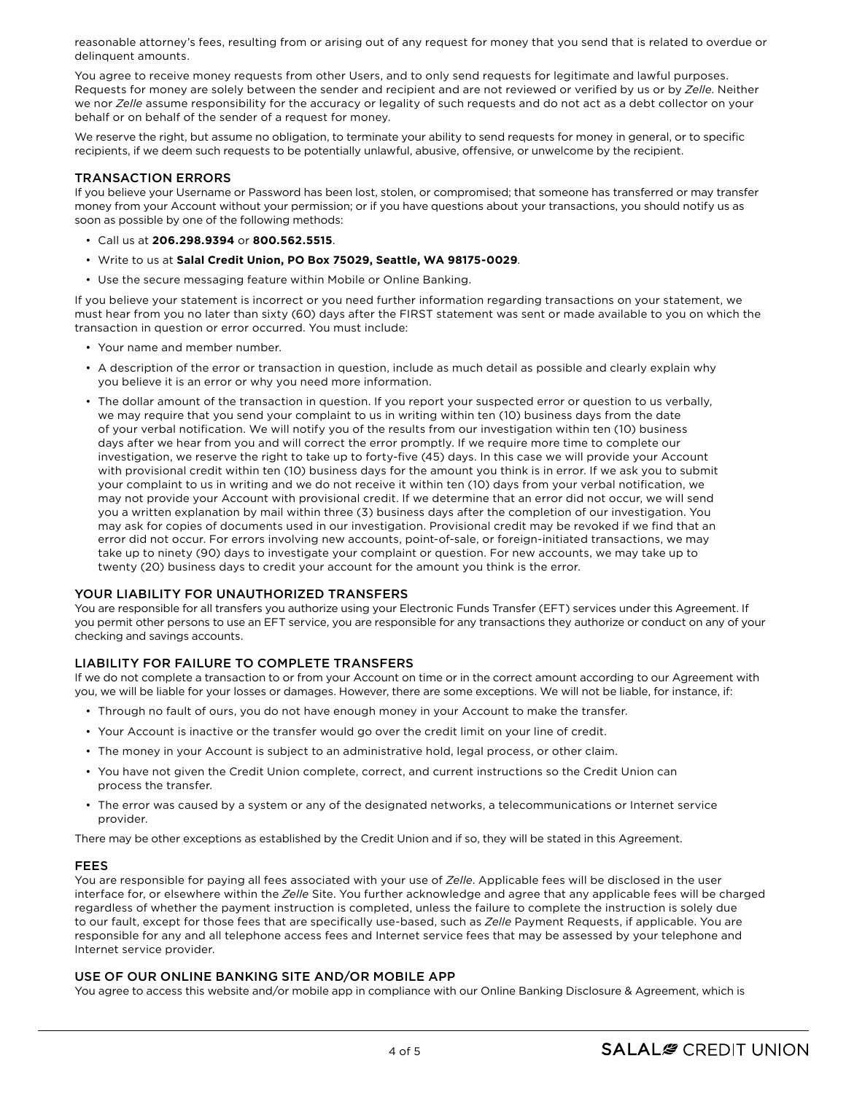reasonable attorney's fees, resulting from or arising out of any request for money that you send that is related to overdue or delinquent amounts.

You agree to receive money requests from other Users, and to only send requests for legitimate and lawful purposes. Requests for money are solely between the sender and recipient and are not reviewed or verified by us or by *Zelle*. Neither we nor *Zelle* assume responsibility for the accuracy or legality of such requests and do not act as a debt collector on your behalf or on behalf of the sender of a request for money.

We reserve the right, but assume no obligation, to terminate your ability to send requests for money in general, or to specific recipients, if we deem such requests to be potentially unlawful, abusive, offensive, or unwelcome by the recipient.

#### TRANSACTION ERRORS

If you believe your Username or Password has been lost, stolen, or compromised; that someone has transferred or may transfer money from your Account without your permission; or if you have questions about your transactions, you should notify us as soon as possible by one of the following methods:

- Call us at **206.298.9394** or **800.562.5515**.
- Write to us at **Salal Credit Union, PO Box 75029, Seattle, WA 98175-0029**.
- Use the secure messaging feature within Mobile or Online Banking.

If you believe your statement is incorrect or you need further information regarding transactions on your statement, we must hear from you no later than sixty (60) days after the FIRST statement was sent or made available to you on which the transaction in question or error occurred. You must include:

- Your name and member number.
- A description of the error or transaction in question, include as much detail as possible and clearly explain why you believe it is an error or why you need more information.
- The dollar amount of the transaction in question. If you report your suspected error or question to us verbally, we may require that you send your complaint to us in writing within ten (10) business days from the date of your verbal notification. We will notify you of the results from our investigation within ten (10) business days after we hear from you and will correct the error promptly. If we require more time to complete our investigation, we reserve the right to take up to forty-five (45) days. In this case we will provide your Account with provisional credit within ten (10) business days for the amount you think is in error. If we ask you to submit your complaint to us in writing and we do not receive it within ten (10) days from your verbal notification, we may not provide your Account with provisional credit. If we determine that an error did not occur, we will send you a written explanation by mail within three (3) business days after the completion of our investigation. You may ask for copies of documents used in our investigation. Provisional credit may be revoked if we find that an error did not occur. For errors involving new accounts, point-of-sale, or foreign-initiated transactions, we may take up to ninety (90) days to investigate your complaint or question. For new accounts, we may take up to twenty (20) business days to credit your account for the amount you think is the error.

#### YOUR LIABILITY FOR UNAUTHORIZED TRANSFERS

You are responsible for all transfers you authorize using your Electronic Funds Transfer (EFT) services under this Agreement. If you permit other persons to use an EFT service, you are responsible for any transactions they authorize or conduct on any of your checking and savings accounts.

# LIABILITY FOR FAILURE TO COMPLETE TRANSFERS

If we do not complete a transaction to or from your Account on time or in the correct amount according to our Agreement with you, we will be liable for your losses or damages. However, there are some exceptions. We will not be liable, for instance, if:

- Through no fault of ours, you do not have enough money in your Account to make the transfer.
- Your Account is inactive or the transfer would go over the credit limit on your line of credit.
- The money in your Account is subject to an administrative hold, legal process, or other claim.
- You have not given the Credit Union complete, correct, and current instructions so the Credit Union can process the transfer.
- The error was caused by a system or any of the designated networks, a telecommunications or Internet service provider.

There may be other exceptions as established by the Credit Union and if so, they will be stated in this Agreement.

#### FEES

You are responsible for paying all fees associated with your use of *Zelle*. Applicable fees will be disclosed in the user interface for, or elsewhere within the *Zelle* Site. You further acknowledge and agree that any applicable fees will be charged regardless of whether the payment instruction is completed, unless the failure to complete the instruction is solely due to our fault, except for those fees that are specifically use-based, such as *Zelle* Payment Requests, if applicable. You are responsible for any and all telephone access fees and Internet service fees that may be assessed by your telephone and Internet service provider.

#### USE OF OUR ONLINE BANKING SITE AND/OR MOBILE APP

You agree to access this website and/or mobile app in compliance with our Online Banking Disclosure & Agreement, which is